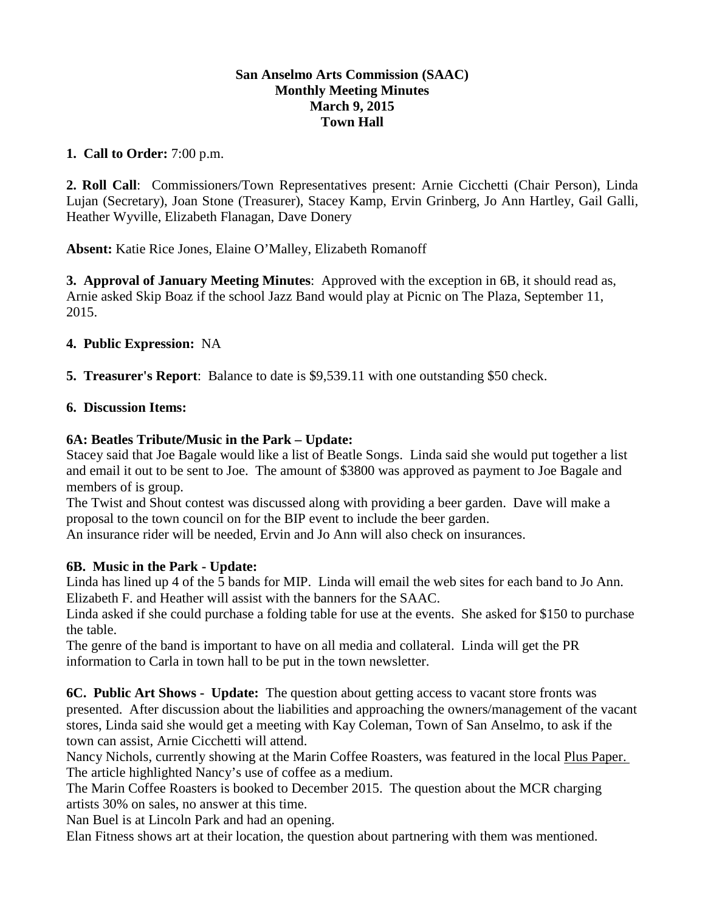#### **San Anselmo Arts Commission (SAAC) Monthly Meeting Minutes March 9, 2015 Town Hall**

#### **1. Call to Order:** 7:00 p.m.

**2. Roll Call**: Commissioners/Town Representatives present: Arnie Cicchetti (Chair Person), Linda Lujan (Secretary), Joan Stone (Treasurer), Stacey Kamp, Ervin Grinberg, Jo Ann Hartley, Gail Galli, Heather Wyville, Elizabeth Flanagan, Dave Donery

**Absent:** Katie Rice Jones, Elaine O'Malley, Elizabeth Romanoff

**3. Approval of January Meeting Minutes**: Approved with the exception in 6B, it should read as, Arnie asked Skip Boaz if the school Jazz Band would play at Picnic on The Plaza, September 11, 2015.

## **4. Public Expression:** NA

**5. Treasurer's Report**: Balance to date is \$9,539.11 with one outstanding \$50 check.

## **6. Discussion Items:**

## **6A: Beatles Tribute/Music in the Park – Update:**

Stacey said that Joe Bagale would like a list of Beatle Songs. Linda said she would put together a list and email it out to be sent to Joe. The amount of \$3800 was approved as payment to Joe Bagale and members of is group.

The Twist and Shout contest was discussed along with providing a beer garden. Dave will make a proposal to the town council on for the BIP event to include the beer garden.

An insurance rider will be needed, Ervin and Jo Ann will also check on insurances.

# **6B. Music in the Park - Update:**

Linda has lined up 4 of the 5 bands for MIP. Linda will email the web sites for each band to Jo Ann. Elizabeth F. and Heather will assist with the banners for the SAAC.

Linda asked if she could purchase a folding table for use at the events. She asked for \$150 to purchase the table.

The genre of the band is important to have on all media and collateral. Linda will get the PR information to Carla in town hall to be put in the town newsletter.

**6C. Public Art Shows - Update:** The question about getting access to vacant store fronts was presented. After discussion about the liabilities and approaching the owners/management of the vacant stores, Linda said she would get a meeting with Kay Coleman, Town of San Anselmo, to ask if the town can assist, Arnie Cicchetti will attend.

Nancy Nichols, currently showing at the Marin Coffee Roasters, was featured in the local Plus Paper. The article highlighted Nancy's use of coffee as a medium.

The Marin Coffee Roasters is booked to December 2015. The question about the MCR charging artists 30% on sales, no answer at this time.

Nan Buel is at Lincoln Park and had an opening.

Elan Fitness shows art at their location, the question about partnering with them was mentioned.